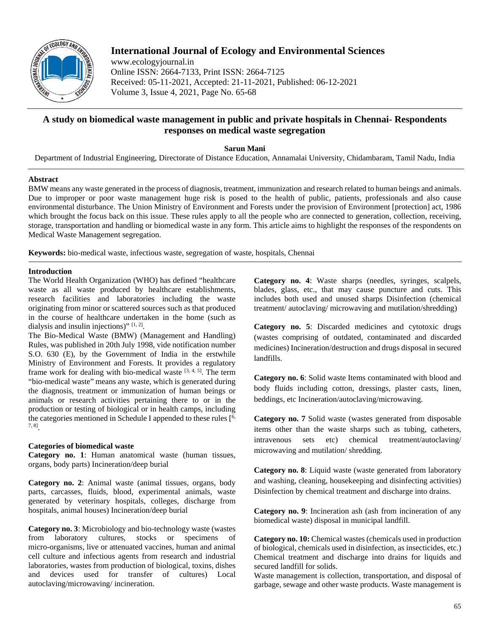

# **International Journal of Ecology and Environmental Sciences**

www.ecologyjournal.in Online ISSN: 2664-7133, Print ISSN: 2664-7125 Received: 05-11-2021, Accepted: 21-11-2021, Published: 06-12-2021 Volume 3, Issue 4, 2021, Page No. 65-68

# **A study on biomedical waste management in public and private hospitals in Chennai- Respondents responses on medical waste segregation**

**Sarun Mani**

Department of Industrial Engineering, Directorate of Distance Education, Annamalai University, Chidambaram, Tamil Nadu, India

# **Abstract**

BMW means any waste generated in the process of diagnosis, treatment, immunization and research related to human beings and animals. Due to improper or poor waste management huge risk is posed to the health of public, patients, professionals and also cause environmental disturbance. The Union Ministry of Environment and Forests under the provision of Environment [protection] act, 1986 which brought the focus back on this issue. These rules apply to all the people who are connected to generation, collection, receiving, storage, transportation and handling or biomedical waste in any form. This article aims to highlight the responses of the respondents on Medical Waste Management segregation.

**Keywords:** bio-medical waste, infectious waste, segregation of waste, hospitals, Chennai

# **Introduction**

The World Health Organization (WHO) has defined "healthcare waste as all waste produced by healthcare establishments, research facilities and laboratories including the waste originating from minor or scattered sources such as that produced in the course of healthcare undertaken in the home (such as dialysis and insulin injections)" [1, 2].

The Bio-Medical Waste (BMW) (Management and Handling) Rules, was published in 20th July 1998, vide notification number S.O. 630 (E), by the Government of India in the erstwhile Ministry of Environment and Forests. It provides a regulatory frame work for dealing with bio-medical waste  $[3, 4, 5]$ . The term "bio-medical waste" means any waste, which is generated during the diagnosis, treatment or immunization of human beings or animals or research activities pertaining there to or in the production or testing of biological or in health camps, including the categories mentioned in Schedule I appended to these rules  $[6, 6]$ 7, 8].

### **Categories of biomedical waste**

**Category no. 1**: Human anatomical waste (human tissues, organs, body parts) Incineration/deep burial

**Category no. 2**: Animal waste (animal tissues, organs, body parts, carcasses, fluids, blood, experimental animals, waste generated by veterinary hospitals, colleges, discharge from hospitals, animal houses) Incineration/deep burial

**Category no. 3**: Microbiology and bio-technology waste (wastes from laboratory cultures, stocks or specimens of micro-organisms, live or attenuated vaccines, human and animal cell culture and infectious agents from research and industrial laboratories, wastes from production of biological, toxins, dishes and devices used for transfer of cultures) Local autoclaving/microwaving/ incineration.

**Category no. 4**: Waste sharps (needles, syringes, scalpels, blades, glass, etc., that may cause puncture and cuts. This includes both used and unused sharps Disinfection (chemical treatment/ autoclaving/ microwaving and mutilation/shredding)

**Category no. 5**: Discarded medicines and cytotoxic drugs (wastes comprising of outdated, contaminated and discarded medicines) Incineration/destruction and drugs disposal in secured landfills.

**Category no. 6**: Solid waste Items contaminated with blood and body fluids including cotton, dressings, plaster casts, linen, beddings, etc Incineration/autoclaving/microwaving.

**Category no. 7** Solid waste (wastes generated from disposable items other than the waste sharps such as tubing, catheters, intravenous sets etc) chemical treatment/autoclaving/ microwaving and mutilation/ shredding.

**Category no. 8**: Liquid waste (waste generated from laboratory and washing, cleaning, housekeeping and disinfecting activities) Disinfection by chemical treatment and discharge into drains.

**Category no. 9**: Incineration ash (ash from incineration of any biomedical waste) disposal in municipal landfill.

**Category no. 10:** Chemical wastes (chemicals used in production of biological, chemicals used in disinfection, as insecticides, etc.) Chemical treatment and discharge into drains for liquids and secured landfill for solids.

Waste management is collection, transportation, and disposal of garbage, sewage and other waste products. Waste management is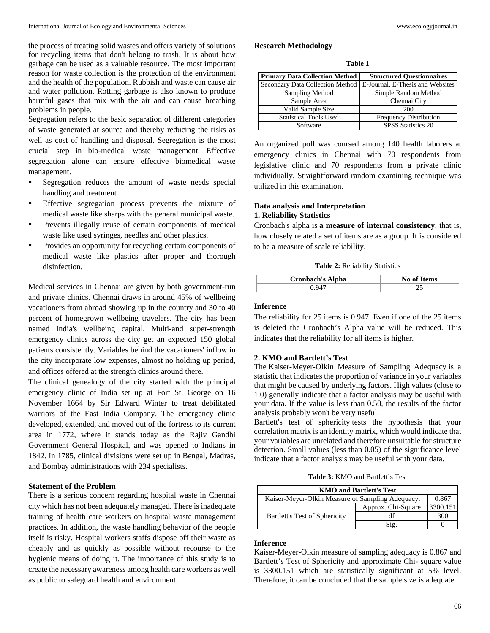the process of treating solid wastes and offers variety of solutions for recycling items that don't belong to trash. It is about how garbage can be used as a valuable resource. The most important reason for waste collection is the protection of the environment and the health of the population. Rubbish and waste can cause air and water pollution. Rotting garbage is also known to produce harmful gases that mix with the air and can cause breathing problems in people.

Segregation refers to the basic separation of different categories of waste generated at source and thereby reducing the risks as well as cost of handling and disposal. Segregation is the most crucial step in bio-medical waste management. Effective segregation alone can ensure effective biomedical waste management.

- Segregation reduces the amount of waste needs special handling and treatment
- Effective segregation process prevents the mixture of medical waste like sharps with the general municipal waste.
- Prevents illegally reuse of certain components of medical waste like used syringes, needles and other plastics.
- Provides an opportunity for recycling certain components of medical waste like plastics after proper and thorough disinfection.

Medical services in Chennai are given by both government-run and private clinics. Chennai draws in around 45% of wellbeing vacationers from abroad showing up in the country and 30 to 40 percent of homegrown wellbeing travelers. The city has been named India's wellbeing capital. Multi-and super-strength emergency clinics across the city get an expected 150 global patients consistently. Variables behind the vacationers' inflow in the city incorporate low expenses, almost no holding up period, and offices offered at the strength clinics around there.

The clinical genealogy of the city started with the principal emergency clinic of India set up at Fort St. George on 16 November 1664 by Sir Edward Winter to treat debilitated warriors of the East India Company. The emergency clinic developed, extended, and moved out of the fortress to its current area in 1772, where it stands today as the Rajiv Gandhi Government General Hospital, and was opened to Indians in 1842. In 1785, clinical divisions were set up in Bengal, Madras, and Bombay administrations with 234 specialists.

#### **Statement of the Problem**

There is a serious concern regarding hospital waste in Chennai city which has not been adequately managed. There is inadequate training of health care workers on hospital waste management practices. In addition, the waste handling behavior of the people itself is risky. Hospital workers staffs dispose off their waste as cheaply and as quickly as possible without recourse to the hygienic means of doing it. The importance of this study is to create the necessary awareness among health care workers as well as public to safeguard health and environment.

#### **Research Methodology**

| anı<br>٦ш |  |
|-----------|--|
|-----------|--|

| <b>Primary Data Collection Method</b> | <b>Structured Ouestionnaires</b> |
|---------------------------------------|----------------------------------|
| Secondary Data Collection Method      | E-Journal, E-Thesis and Websites |
| Sampling Method                       | Simple Random Method             |
| Sample Area                           | Chennai City                     |
| Valid Sample Size                     | 200                              |
| <b>Statistical Tools Used</b>         | <b>Frequency Distribution</b>    |
| Software                              | <b>SPSS Statistics 20</b>        |

An organized poll was coursed among 140 health laborers at emergency clinics in Chennai with 70 respondents from legislative clinic and 70 respondents from a private clinic individually. Straightforward random examining technique was utilized in this examination.

# **Data analysis and Interpretation**

# **1. Reliability Statistics**

Cronbach's alpha is **a measure of internal consistency**, that is, how closely related a set of items are as a group. It is considered to be a measure of scale reliability.

**Table 2:** Reliability Statistics

| <b>Cronbach's Alpha</b> | <b>No of Items</b> |
|-------------------------|--------------------|
|                         |                    |

#### **Inference**

The reliability for 25 items is 0.947. Even if one of the 25 items is deleted the Cronbach's Alpha value will be reduced. This indicates that the reliability for all items is higher.

#### **2. KMO and Bartlett's Test**

The Kaiser-Meyer-Olkin Measure of Sampling Adequacy is a statistic that indicates the proportion of variance in your variables that might be caused by underlying factors. High values (close to 1.0) generally indicate that a factor analysis may be useful with your data. If the value is less than 0.50, the results of the factor analysis probably won't be very useful.

Bartlett's test of sphericity tests the hypothesis that your correlation matrix is an identity matrix, which would indicate that your variables are unrelated and therefore unsuitable for structure detection. Small values (less than 0.05) of the significance level indicate that a factor analysis may be useful with your data.

**Table 3:** KMO and Bartlett's Test

| <b>KMO and Bartlett's Test</b>                            |                    |          |  |
|-----------------------------------------------------------|--------------------|----------|--|
| Kaiser-Meyer-Olkin Measure of Sampling Adequacy.<br>0.867 |                    |          |  |
| Bartlett's Test of Sphericity                             | Approx. Chi-Square | 3300.151 |  |
|                                                           | df                 | 300      |  |
|                                                           | Sig.               |          |  |

## **Inference**

Kaiser-Meyer-Olkin measure of sampling adequacy is 0.867 and Bartlett's Test of Sphericity and approximate Chi- square value is 3300.151 which are statistically significant at 5% level. Therefore, it can be concluded that the sample size is adequate.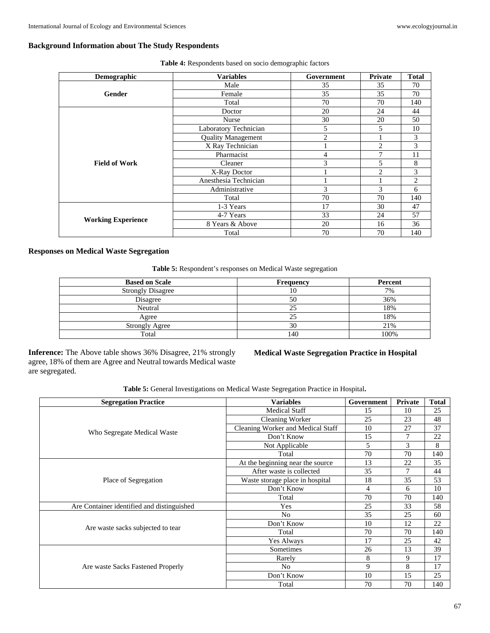## **Background Information about The Study Respondents**

| Demographic                                                                                                                                                                                                                                                                                                           | <b>Variables</b> | Government                                                                                                                                                                    | Private | <b>Total</b> |
|-----------------------------------------------------------------------------------------------------------------------------------------------------------------------------------------------------------------------------------------------------------------------------------------------------------------------|------------------|-------------------------------------------------------------------------------------------------------------------------------------------------------------------------------|---------|--------------|
|                                                                                                                                                                                                                                                                                                                       | Male             | 35                                                                                                                                                                            | 35      | 70           |
| Female<br>Gender<br>Total<br>Doctor<br>Nurse<br>Laboratory Technician<br><b>Quality Management</b><br>X Ray Technician<br>Pharmacist<br><b>Field of Work</b><br>Cleaner<br>X-Ray Doctor<br>Anesthesia Technician<br>Administrative<br>Total<br>1-3 Years<br>4-7 Years<br><b>Working Experience</b><br>8 Years & Above | 35               | 35                                                                                                                                                                            | 70      |              |
|                                                                                                                                                                                                                                                                                                                       |                  | 70<br>70<br>20<br>24<br>30<br>20<br>5<br>5<br>$\overline{2}$<br>$\overline{2}$<br>7<br>4<br>3<br>5<br>2<br>3<br>3<br>70<br>70<br>17<br>30<br>33<br>24<br>20<br>16<br>70<br>70 | 140     |              |
|                                                                                                                                                                                                                                                                                                                       |                  |                                                                                                                                                                               |         | 44           |
|                                                                                                                                                                                                                                                                                                                       |                  | 50                                                                                                                                                                            |         |              |
|                                                                                                                                                                                                                                                                                                                       |                  |                                                                                                                                                                               |         | 10           |
| Total                                                                                                                                                                                                                                                                                                                 |                  |                                                                                                                                                                               | 3       |              |
|                                                                                                                                                                                                                                                                                                                       |                  |                                                                                                                                                                               |         | 3            |
|                                                                                                                                                                                                                                                                                                                       |                  |                                                                                                                                                                               |         | 11           |
|                                                                                                                                                                                                                                                                                                                       | 8                |                                                                                                                                                                               |         |              |
|                                                                                                                                                                                                                                                                                                                       |                  | 3                                                                                                                                                                             |         |              |
|                                                                                                                                                                                                                                                                                                                       |                  | $\overline{2}$                                                                                                                                                                |         |              |
|                                                                                                                                                                                                                                                                                                                       |                  |                                                                                                                                                                               | 6       |              |
|                                                                                                                                                                                                                                                                                                                       |                  | 140                                                                                                                                                                           |         |              |
|                                                                                                                                                                                                                                                                                                                       |                  |                                                                                                                                                                               |         | 47           |
|                                                                                                                                                                                                                                                                                                                       |                  |                                                                                                                                                                               |         | 57           |
|                                                                                                                                                                                                                                                                                                                       |                  | 36                                                                                                                                                                            |         |              |
|                                                                                                                                                                                                                                                                                                                       |                  |                                                                                                                                                                               | 140     |              |

**Table 4:** Respondents based on socio demographic factors

## **Responses on Medical Waste Segregation**

**Table 5:** Respondent's responses on Medical Waste segregation

| <b>Based on Scale</b>    | <b>Frequency</b> | Percent |
|--------------------------|------------------|---------|
| <b>Strongly Disagree</b> |                  | 7%      |
| Disagree                 | 50               | 36%     |
| Neutral                  | 25               | 18%     |
| Agree                    |                  | 18%     |
| <b>Strongly Agree</b>    | 30               | 21%     |
| Total                    | 140              | 100%    |

**Inference:** The Above table shows 36% Disagree, 21% strongly agree, 18% of them are Agree and Neutral towards Medical waste are segregated.

# **Medical Waste Segregation Practice in Hospital**

**Table 5:** General Investigations on Medical Waste Segregation Practice in Hospital**.**

| <b>Segregation Practice</b>                | <b>Variables</b>                  | Government | Private | <b>Total</b> |
|--------------------------------------------|-----------------------------------|------------|---------|--------------|
|                                            | <b>Medical Staff</b>              | 15         | 10      | 25           |
|                                            | Cleaning Worker                   | 25         | 23      | 48           |
| Who Segregate Medical Waste                | Cleaning Worker and Medical Staff | 10         | 27      | 37           |
|                                            | Don't Know                        | 15         | 7       | 22           |
|                                            | Not Applicable                    | 5          | 3       | 8            |
|                                            | Total                             | 70         | 70      | 140          |
| Place of Segregation                       | At the beginning near the source  | 13         | 22      | 35           |
|                                            | After waste is collected          | 35         | 7       | 44           |
|                                            | Waste storage place in hospital   | 18         | 35      | 53           |
|                                            | Don't Know                        | 4          | 6       | 10           |
|                                            | Total                             | 70         | 70      | 140          |
| Are Container identified and distinguished | Yes                               | 25         | 33      | 58           |
|                                            | N <sub>o</sub>                    | 35         | 25      | 60           |
| Are waste sacks subjected to tear          | Don't Know                        | 10         | 12      | 22           |
|                                            | Total                             | 70         | 70      | 140          |
|                                            | Yes Always                        | 17         | 25      | 42           |
|                                            | Sometimes                         | 26         | 13      | 39           |
| Are waste Sacks Fastened Properly          | Rarely                            | 8          | 9       | 17           |
|                                            | N <sub>o</sub>                    | 9          | 8       | 17           |
|                                            | Don't Know                        | 10         | 15      | 25           |
|                                            | Total                             | 70         | 70      | 140          |